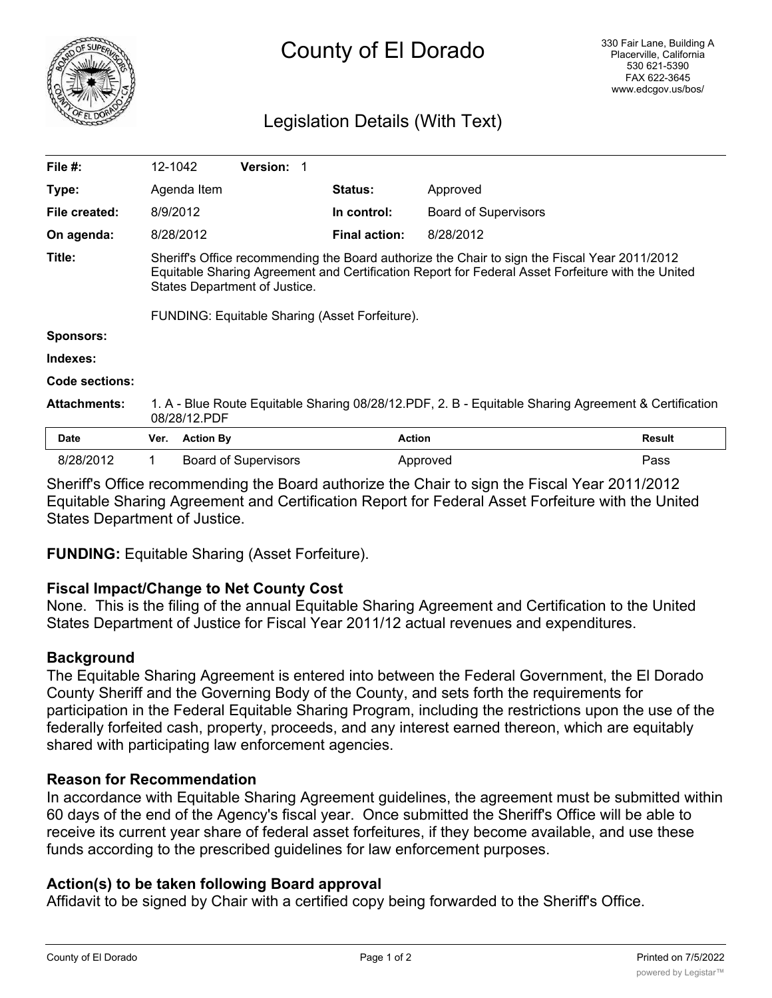

# Legislation Details (With Text)

| File $#$ :          | 12-1042                                                                                                                                                                                                                             |                  | <b>Version: 1</b>           |  |                      |                             |               |
|---------------------|-------------------------------------------------------------------------------------------------------------------------------------------------------------------------------------------------------------------------------------|------------------|-----------------------------|--|----------------------|-----------------------------|---------------|
| Type:               |                                                                                                                                                                                                                                     | Agenda Item      |                             |  | <b>Status:</b>       | Approved                    |               |
| File created:       |                                                                                                                                                                                                                                     | 8/9/2012         |                             |  | In control:          | <b>Board of Supervisors</b> |               |
| On agenda:          |                                                                                                                                                                                                                                     | 8/28/2012        |                             |  | <b>Final action:</b> | 8/28/2012                   |               |
| Title:              | Sheriff's Office recommending the Board authorize the Chair to sign the Fiscal Year 2011/2012<br>Equitable Sharing Agreement and Certification Report for Federal Asset Forfeiture with the United<br>States Department of Justice. |                  |                             |  |                      |                             |               |
|                     | FUNDING: Equitable Sharing (Asset Forfeiture).                                                                                                                                                                                      |                  |                             |  |                      |                             |               |
| <b>Sponsors:</b>    |                                                                                                                                                                                                                                     |                  |                             |  |                      |                             |               |
| Indexes:            |                                                                                                                                                                                                                                     |                  |                             |  |                      |                             |               |
| Code sections:      |                                                                                                                                                                                                                                     |                  |                             |  |                      |                             |               |
| <b>Attachments:</b> | 1. A - Blue Route Equitable Sharing 08/28/12.PDF, 2. B - Equitable Sharing Agreement & Certification<br>08/28/12.PDF                                                                                                                |                  |                             |  |                      |                             |               |
| <b>Date</b>         | Ver.                                                                                                                                                                                                                                | <b>Action By</b> |                             |  |                      | <b>Action</b>               | <b>Result</b> |
| 8/28/2012           |                                                                                                                                                                                                                                     |                  | <b>Board of Supervisors</b> |  |                      | Approved                    | Pass          |

Sheriff's Office recommending the Board authorize the Chair to sign the Fiscal Year 2011/2012 Equitable Sharing Agreement and Certification Report for Federal Asset Forfeiture with the United States Department of Justice.

### **FUNDING:** Equitable Sharing (Asset Forfeiture).

#### **Fiscal Impact/Change to Net County Cost**

None. This is the filing of the annual Equitable Sharing Agreement and Certification to the United States Department of Justice for Fiscal Year 2011/12 actual revenues and expenditures.

#### **Background**

The Equitable Sharing Agreement is entered into between the Federal Government, the El Dorado County Sheriff and the Governing Body of the County, and sets forth the requirements for participation in the Federal Equitable Sharing Program, including the restrictions upon the use of the federally forfeited cash, property, proceeds, and any interest earned thereon, which are equitably shared with participating law enforcement agencies.

#### **Reason for Recommendation**

In accordance with Equitable Sharing Agreement guidelines, the agreement must be submitted within 60 days of the end of the Agency's fiscal year. Once submitted the Sheriff's Office will be able to receive its current year share of federal asset forfeitures, if they become available, and use these funds according to the prescribed guidelines for law enforcement purposes.

### **Action(s) to be taken following Board approval**

Affidavit to be signed by Chair with a certified copy being forwarded to the Sheriff's Office.